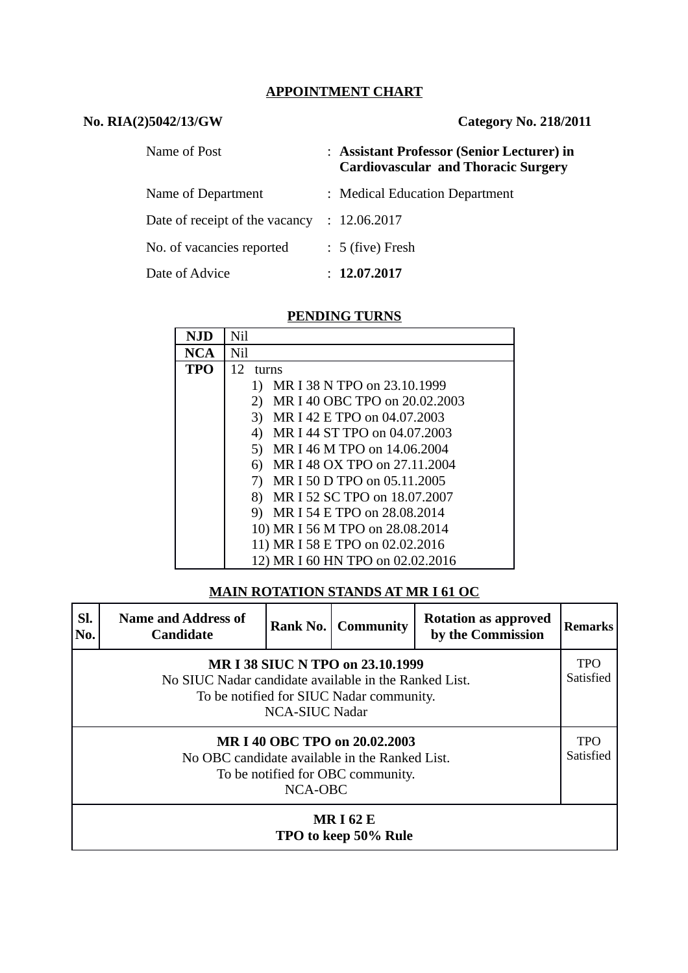## **APPOINTMENT CHART**

## **No. RIA(2)5042/13/GW Category No. 218/2011**

| Name of Post                   | : Assistant Professor (Senior Lecturer) in<br><b>Cardiovascular and Thoracic Surgery</b> |
|--------------------------------|------------------------------------------------------------------------------------------|
| Name of Department             | : Medical Education Department                                                           |
| Date of receipt of the vacancy | : 12.06.2017                                                                             |
| No. of vacancies reported      | $: 5$ (five) Fresh                                                                       |
| Date of Advice                 | : 12.07.2017                                                                             |

#### **PENDING TURNS**

| NJD        | Nil                                 |
|------------|-------------------------------------|
| <b>NCA</b> | Nil                                 |
| TPO        | 12<br>turns                         |
|            | MR I 38 N TPO on 23.10.1999<br>1)   |
|            | MR I 40 OBC TPO on 20.02.2003<br>2) |
|            | 3)<br>MR I 42 E TPO on 04.07.2003   |
|            | MR I 44 ST TPO on 04.07.2003<br>4)  |
|            | MR I 46 M TPO on 14.06.2004<br>5)   |
|            | MR I 48 OX TPO on 27,11,2004<br>6)  |
|            | MR I 50 D TPO on 05.11.2005<br>7)   |
|            | MR I 52 SC TPO on 18.07.2007<br>8)  |
|            | MR I 54 E TPO on 28.08.2014<br>9)   |
|            | 10) MR I 56 M TPO on 28.08.2014     |
|            | 11) MR I 58 E TPO on 02.02.2016     |
|            | 12) MR I 60 HN TPO on 02.02.2016    |

# **MAIN ROTATION STANDS AT MR I 61 OC**

| SI.<br>No.                                                                                                                                                     | <b>Name and Address of</b><br><b>Candidate</b> | Rank No. | <b>Community</b> | <b>Rotation as approved</b><br>by the Commission | Remarks                 |
|----------------------------------------------------------------------------------------------------------------------------------------------------------------|------------------------------------------------|----------|------------------|--------------------------------------------------|-------------------------|
| MR I 38 SIUC N TPO on 23.10.1999<br>No SIUC Nadar candidate available in the Ranked List.<br>To be notified for SIUC Nadar community.<br><b>NCA-SIUC Nadar</b> |                                                |          |                  |                                                  |                         |
| MR I 40 OBC TPO on 20.02.2003<br>No OBC candidate available in the Ranked List.<br>To be notified for OBC community.<br>NCA-OBC                                |                                                |          |                  |                                                  | <b>TPO</b><br>Satisfied |
| <b>MRI62E</b><br>TPO to keep 50% Rule                                                                                                                          |                                                |          |                  |                                                  |                         |